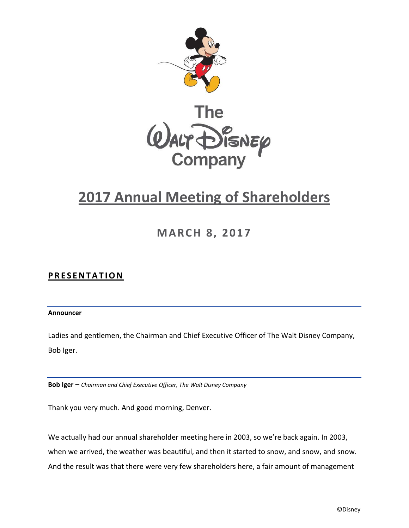

# **2017 Annual Meeting of Shareholders**

**MARCH 8, 2017**

# **PRESENTATION**

## **Announcer**

Ladies and gentlemen, the Chairman and Chief Executive Officer of The Walt Disney Company, Bob Iger.

**Bob Iger** – *Chairman and Chief Executive Officer, The Walt Disney Company*

Thank you very much. And good morning, Denver.

We actually had our annual shareholder meeting here in 2003, so we're back again. In 2003, when we arrived, the weather was beautiful, and then it started to snow, and snow, and snow. And the result was that there were very few shareholders here, a fair amount of management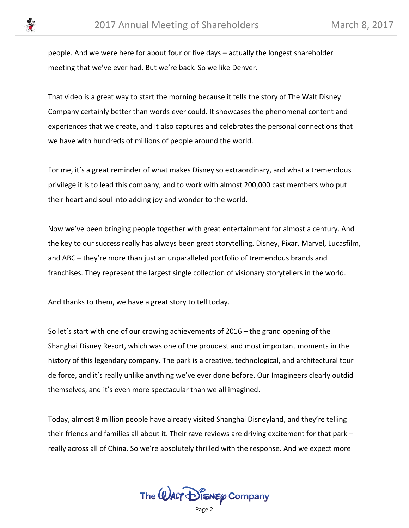people. And we were here for about four or five days – actually the longest shareholder meeting that we've ever had. But we're back. So we like Denver.

That video is a great way to start the morning because it tells the story of The Walt Disney Company certainly better than words ever could. It showcases the phenomenal content and experiences that we create, and it also captures and celebrates the personal connections that we have with hundreds of millions of people around the world.

For me, it's a great reminder of what makes Disney so extraordinary, and what a tremendous privilege it is to lead this company, and to work with almost 200,000 cast members who put their heart and soul into adding joy and wonder to the world.

Now we've been bringing people together with great entertainment for almost a century. And the key to our success really has always been great storytelling. Disney, Pixar, Marvel, Lucasfilm, and ABC – they're more than just an unparalleled portfolio of tremendous brands and franchises. They represent the largest single collection of visionary storytellers in the world.

And thanks to them, we have a great story to tell today.

So let's start with one of our crowing achievements of 2016 – the grand opening of the Shanghai Disney Resort, which was one of the proudest and most important moments in the history of this legendary company. The park is a creative, technological, and architectural tour de force, and it's really unlike anything we've ever done before. Our Imagineers clearly outdid themselves, and it's even more spectacular than we all imagined.

Today, almost 8 million people have already visited Shanghai Disneyland, and they're telling their friends and families all about it. Their rave reviews are driving excitement for that park – really across all of China. So we're absolutely thrilled with the response. And we expect more

The  $\omega$ ALT  $\mathcal{D}$  is  $\kappa$   $\varphi$  Company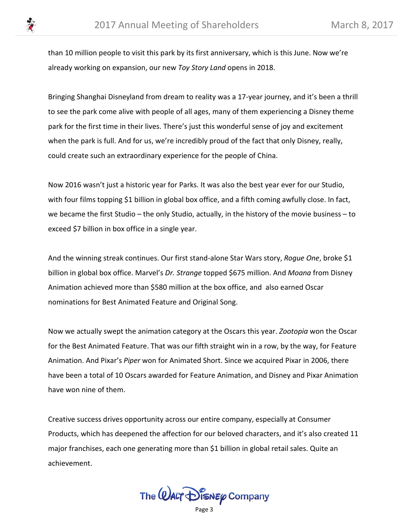than 10 million people to visit this park by its first anniversary, which is this June. Now we're already working on expansion, our new *Toy Story Land* opens in 2018.

Bringing Shanghai Disneyland from dream to reality was a 17-year journey, and it's been a thrill to see the park come alive with people of all ages, many of them experiencing a Disney theme park for the first time in their lives. There's just this wonderful sense of joy and excitement when the park is full. And for us, we're incredibly proud of the fact that only Disney, really, could create such an extraordinary experience for the people of China.

Now 2016 wasn't just a historic year for Parks. It was also the best year ever for our Studio, with four films topping \$1 billion in global box office, and a fifth coming awfully close. In fact, we became the first Studio – the only Studio, actually, in the history of the movie business – to exceed \$7 billion in box office in a single year.

And the winning streak continues. Our first stand-alone Star Wars story, *Rogue One*, broke \$1 billion in global box office. Marvel's *Dr. Strange* topped \$675 million. And *Moana* from Disney Animation achieved more than \$580 million at the box office, and also earned Oscar nominations for Best Animated Feature and Original Song.

Now we actually swept the animation category at the Oscars this year. *Zootopia* won the Oscar for the Best Animated Feature. That was our fifth straight win in a row, by the way, for Feature Animation. And Pixar's *Piper* won for Animated Short. Since we acquired Pixar in 2006, there have been a total of 10 Oscars awarded for Feature Animation, and Disney and Pixar Animation have won nine of them.

Creative success drives opportunity across our entire company, especially at Consumer Products, which has deepened the affection for our beloved characters, and it's also created 11 major franchises, each one generating more than \$1 billion in global retail sales. Quite an achievement.

The  $\omega$ ALT  $\mathcal{D}$  is  $\kappa$   $\varphi$  Company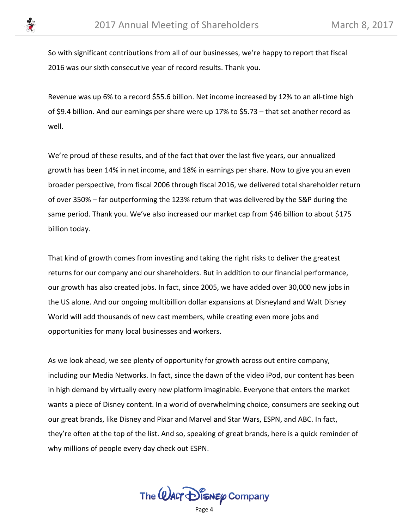

So with significant contributions from all of our businesses, we're happy to report that fiscal 2016 was our sixth consecutive year of record results. Thank you.

Revenue was up 6% to a record \$55.6 billion. Net income increased by 12% to an all-time high of \$9.4 billion. And our earnings per share were up 17% to \$5.73 – that set another record as well.

We're proud of these results, and of the fact that over the last five years, our annualized growth has been 14% in net income, and 18% in earnings per share. Now to give you an even broader perspective, from fiscal 2006 through fiscal 2016, we delivered total shareholder return of over 350% – far outperforming the 123% return that was delivered by the S&P during the same period. Thank you. We've also increased our market cap from \$46 billion to about \$175 billion today.

That kind of growth comes from investing and taking the right risks to deliver the greatest returns for our company and our shareholders. But in addition to our financial performance, our growth has also created jobs. In fact, since 2005, we have added over 30,000 new jobs in the US alone. And our ongoing multibillion dollar expansions at Disneyland and Walt Disney World will add thousands of new cast members, while creating even more jobs and opportunities for many local businesses and workers.

As we look ahead, we see plenty of opportunity for growth across out entire company, including our Media Networks. In fact, since the dawn of the video iPod, our content has been in high demand by virtually every new platform imaginable. Everyone that enters the market wants a piece of Disney content. In a world of overwhelming choice, consumers are seeking out our great brands, like Disney and Pixar and Marvel and Star Wars, ESPN, and ABC. In fact, they're often at the top of the list. And so, speaking of great brands, here is a quick reminder of why millions of people every day check out ESPN.



Page 4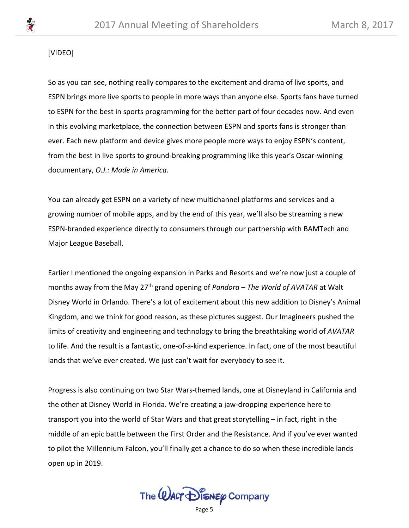## [VIDEO]

So as you can see, nothing really compares to the excitement and drama of live sports, and ESPN brings more live sports to people in more ways than anyone else. Sports fans have turned to ESPN for the best in sports programming for the better part of four decades now. And even in this evolving marketplace, the connection between ESPN and sports fans is stronger than ever. Each new platform and device gives more people more ways to enjoy ESPN's content, from the best in live sports to ground-breaking programming like this year's Oscar-winning documentary, *O.J.: Made in America*.

You can already get ESPN on a variety of new multichannel platforms and services and a growing number of mobile apps, and by the end of this year, we'll also be streaming a new ESPN-branded experience directly to consumers through our partnership with BAMTech and Major League Baseball.

Earlier I mentioned the ongoing expansion in Parks and Resorts and we're now just a couple of months away from the May 27th grand opening of *Pandora – The World of AVATAR* at Walt Disney World in Orlando. There's a lot of excitement about this new addition to Disney's Animal Kingdom, and we think for good reason, as these pictures suggest. Our Imagineers pushed the limits of creativity and engineering and technology to bring the breathtaking world of *AVATAR* to life. And the result is a fantastic, one-of-a-kind experience. In fact, one of the most beautiful lands that we've ever created. We just can't wait for everybody to see it.

Progress is also continuing on two Star Wars-themed lands, one at Disneyland in California and the other at Disney World in Florida. We're creating a jaw-dropping experience here to transport you into the world of Star Wars and that great storytelling – in fact, right in the middle of an epic battle between the First Order and the Resistance. And if you've ever wanted to pilot the Millennium Falcon, you'll finally get a chance to do so when these incredible lands open up in 2019.

The  $\omega$ ALT  $\mathcal{D}$  is  $\kappa$   $\varphi$  Company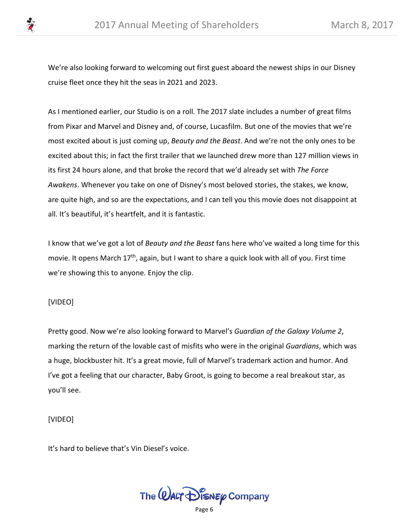

We're also looking forward to welcoming out first guest aboard the newest ships in our Disney cruise fleet once they hit the seas in 2021 and 2023.

As I mentioned earlier, our Studio is on a roll. The 2017 slate includes a number of great films from Pixar and Marvel and Disney and, of course, Lucasfilm. But one of the movies that we're most excited about is just coming up, *Beauty and the Beast*. And we're not the only ones to be excited about this; in fact the first trailer that we launched drew more than 127 million views in its first 24 hours alone, and that broke the record that we'd already set with *The Force Awakens*. Whenever you take on one of Disney's most beloved stories, the stakes, we know, are quite high, and so are the expectations, and I can tell you this movie does not disappoint at all. It's beautiful, it's heartfelt, and it is fantastic.

I know that we've got a lot of *Beauty and the Beast* fans here who've waited a long time for this movie. It opens March 17<sup>th</sup>, again, but I want to share a quick look with all of you. First time we're showing this to anyone. Enjoy the clip.

## [VIDEO]

Pretty good. Now we're also looking forward to Marvel's *Guardian of the Galaxy Volume 2*, marking the return of the lovable cast of misfits who were in the original *Guardians*, which was a huge, blockbuster hit. It's a great movie, full of Marvel's trademark action and humor. And I've got a feeling that our character, Baby Groot, is going to become a real breakout star, as you'll see.

## [VIDEO]

It's hard to believe that's Vin Diesel's voice.

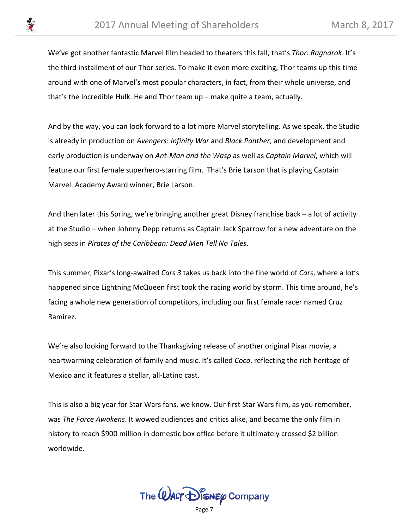

We've got another fantastic Marvel film headed to theaters this fall, that's *Thor: Ragnarok*. It's the third installment of our Thor series. To make it even more exciting, Thor teams up this time around with one of Marvel's most popular characters, in fact, from their whole universe, and that's the Incredible Hulk. He and Thor team up – make quite a team, actually.

And by the way, you can look forward to a lot more Marvel storytelling. As we speak, the Studio is already in production on *Avengers*: *Infinity War* and *Black Panther*, and development and early production is underway on *Ant-Man and the Wasp* as well as *Captain Marvel*, which will feature our first female superhero-starring film. That's Brie Larson that is playing Captain Marvel. Academy Award winner, Brie Larson.

And then later this Spring, we're bringing another great Disney franchise back – a lot of activity at the Studio – when Johnny Depp returns as Captain Jack Sparrow for a new adventure on the high seas in *Pirates of the Caribbean: Dead Men Tell No Tales*.

This summer, Pixar's long-awaited *Cars 3* takes us back into the fine world of *Cars*, where a lot's happened since Lightning McQueen first took the racing world by storm. This time around, he's facing a whole new generation of competitors, including our first female racer named Cruz Ramirez.

We're also looking forward to the Thanksgiving release of another original Pixar movie, a heartwarming celebration of family and music. It's called *Coco*, reflecting the rich heritage of Mexico and it features a stellar, all-Latino cast.

This is also a big year for Star Wars fans, we know. Our first Star Wars film, as you remember, was *The Force Awakens*. It wowed audiences and critics alike, and became the only film in history to reach \$900 million in domestic box office before it ultimately crossed \$2 billion worldwide.

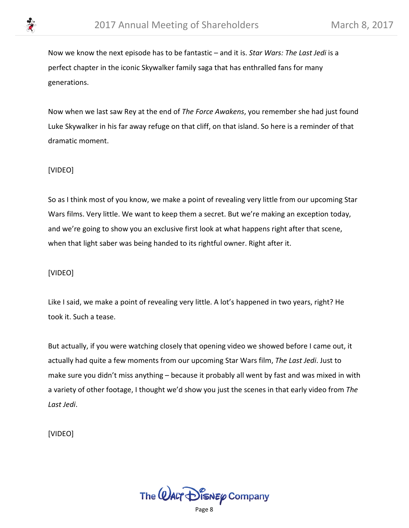

Now we know the next episode has to be fantastic – and it is. *Star Wars: The Last Jedi* is a perfect chapter in the iconic Skywalker family saga that has enthralled fans for many generations.

Now when we last saw Rey at the end of *The Force Awakens*, you remember she had just found Luke Skywalker in his far away refuge on that cliff, on that island. So here is a reminder of that dramatic moment.

# [VIDEO]

So as I think most of you know, we make a point of revealing very little from our upcoming Star Wars films. Very little. We want to keep them a secret. But we're making an exception today, and we're going to show you an exclusive first look at what happens right after that scene, when that light saber was being handed to its rightful owner. Right after it.

# [VIDEO]

Like I said, we make a point of revealing very little. A lot's happened in two years, right? He took it. Such a tease.

But actually, if you were watching closely that opening video we showed before I came out, it actually had quite a few moments from our upcoming Star Wars film, *The Last Jedi*. Just to make sure you didn't miss anything – because it probably all went by fast and was mixed in with a variety of other footage, I thought we'd show you just the scenes in that early video from *The Last Jedi*.

[VIDEO]

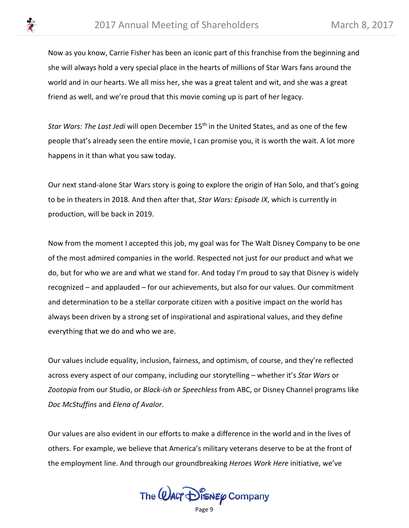

Now as you know, Carrie Fisher has been an iconic part of this franchise from the beginning and she will always hold a very special place in the hearts of millions of Star Wars fans around the world and in our hearts. We all miss her, she was a great talent and wit, and she was a great friend as well, and we're proud that this movie coming up is part of her legacy.

*Star Wars: The Last Jedi* will open December 15th in the United States, and as one of the few people that's already seen the entire movie, I can promise you, it is worth the wait. A lot more happens in it than what you saw today.

Our next stand-alone Star Wars story is going to explore the origin of Han Solo, and that's going to be in theaters in 2018. And then after that, *Star Wars: Episode IX*, which is currently in production, will be back in 2019.

Now from the moment I accepted this job, my goal was for The Walt Disney Company to be one of the most admired companies in the world. Respected not just for our product and what we do, but for who we are and what we stand for. And today I'm proud to say that Disney is widely recognized – and applauded – for our achievements, but also for our values. Our commitment and determination to be a stellar corporate citizen with a positive impact on the world has always been driven by a strong set of inspirational and aspirational values, and they define everything that we do and who we are.

Our values include equality, inclusion, fairness, and optimism, of course, and they're reflected across every aspect of our company, including our storytelling – whether it's *Star Wars* or *Zootopia* from our Studio, or *Black-ish* or *Speechless* from ABC, or Disney Channel programs like *Doc McStuffins* and *Elena of Avalor*.

Our values are also evident in our efforts to make a difference in the world and in the lives of others. For example, we believe that America's military veterans deserve to be at the front of the employment line. And through our groundbreaking *Heroes Work Here* initiative, we've

The  $\mathcal Q$ ALT  $\mathcal D$  is  $\mathcal N$  Eq. Company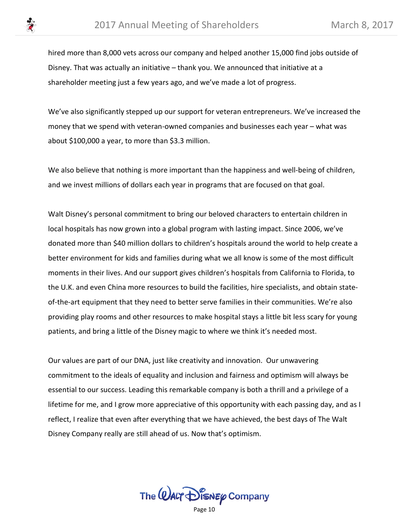

hired more than 8,000 vets across our company and helped another 15,000 find jobs outside of Disney. That was actually an initiative – thank you. We announced that initiative at a shareholder meeting just a few years ago, and we've made a lot of progress.

We've also significantly stepped up our support for veteran entrepreneurs. We've increased the money that we spend with veteran-owned companies and businesses each year – what was about \$100,000 a year, to more than \$3.3 million.

We also believe that nothing is more important than the happiness and well-being of children, and we invest millions of dollars each year in programs that are focused on that goal.

Walt Disney's personal commitment to bring our beloved characters to entertain children in local hospitals has now grown into a global program with lasting impact. Since 2006, we've donated more than \$40 million dollars to children's hospitals around the world to help create a better environment for kids and families during what we all know is some of the most difficult moments in their lives. And our support gives children's hospitals from California to Florida, to the U.K. and even China more resources to build the facilities, hire specialists, and obtain stateof-the-art equipment that they need to better serve families in their communities. We're also providing play rooms and other resources to make hospital stays a little bit less scary for young patients, and bring a little of the Disney magic to where we think it's needed most.

Our values are part of our DNA, just like creativity and innovation. Our unwavering commitment to the ideals of equality and inclusion and fairness and optimism will always be essential to our success. Leading this remarkable company is both a thrill and a privilege of a lifetime for me, and I grow more appreciative of this opportunity with each passing day, and as I reflect, I realize that even after everything that we have achieved, the best days of The Walt Disney Company really are still ahead of us. Now that's optimism.

The  $\omega$ ALT  $\mathcal{D}$  is  $\kappa$   $\varphi$  Company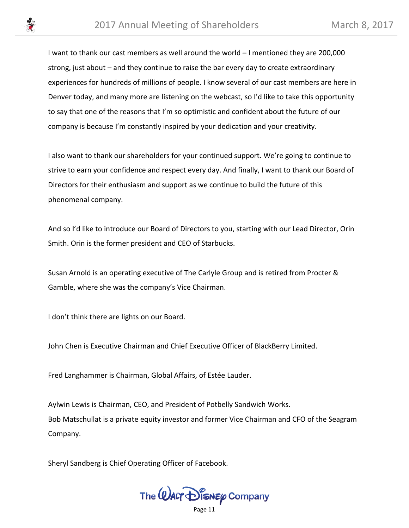I want to thank our cast members as well around the world – I mentioned they are 200,000 strong, just about – and they continue to raise the bar every day to create extraordinary experiences for hundreds of millions of people. I know several of our cast members are here in Denver today, and many more are listening on the webcast, so I'd like to take this opportunity to say that one of the reasons that I'm so optimistic and confident about the future of our company is because I'm constantly inspired by your dedication and your creativity.

I also want to thank our shareholders for your continued support. We're going to continue to strive to earn your confidence and respect every day. And finally, I want to thank our Board of Directors for their enthusiasm and support as we continue to build the future of this phenomenal company.

And so I'd like to introduce our Board of Directors to you, starting with our Lead Director, Orin Smith. Orin is the former president and CEO of Starbucks.

Susan Arnold is an operating executive of The Carlyle Group and is retired from Procter & Gamble, where she was the company's Vice Chairman.

I don't think there are lights on our Board.

John Chen is Executive Chairman and Chief Executive Officer of BlackBerry Limited.

Fred Langhammer is Chairman, Global Affairs, of Estée Lauder.

Aylwin Lewis is Chairman, CEO, and President of Potbelly Sandwich Works. Bob Matschullat is a private equity investor and former Vice Chairman and CFO of the Seagram Company.

Sheryl Sandberg is Chief Operating Officer of Facebook.

The  $\mathcal Q$ ALT  $\mathcal D$  is  $\mathcal N$  Eq. Company

Page 11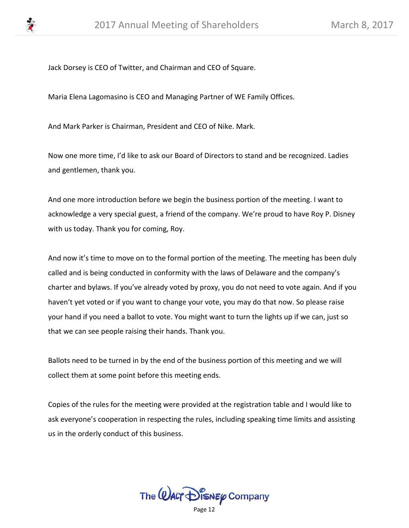

Jack Dorsey is CEO of Twitter, and Chairman and CEO of Square.

Maria Elena Lagomasino is CEO and Managing Partner of WE Family Offices.

And Mark Parker is Chairman, President and CEO of Nike. Mark.

Now one more time, I'd like to ask our Board of Directors to stand and be recognized. Ladies and gentlemen, thank you.

And one more introduction before we begin the business portion of the meeting. I want to acknowledge a very special guest, a friend of the company. We're proud to have Roy P. Disney with us today. Thank you for coming, Roy.

And now it's time to move on to the formal portion of the meeting. The meeting has been duly called and is being conducted in conformity with the laws of Delaware and the company's charter and bylaws. If you've already voted by proxy, you do not need to vote again. And if you haven't yet voted or if you want to change your vote, you may do that now. So please raise your hand if you need a ballot to vote. You might want to turn the lights up if we can, just so that we can see people raising their hands. Thank you.

Ballots need to be turned in by the end of the business portion of this meeting and we will collect them at some point before this meeting ends.

Copies of the rules for the meeting were provided at the registration table and I would like to ask everyone's cooperation in respecting the rules, including speaking time limits and assisting us in the orderly conduct of this business.

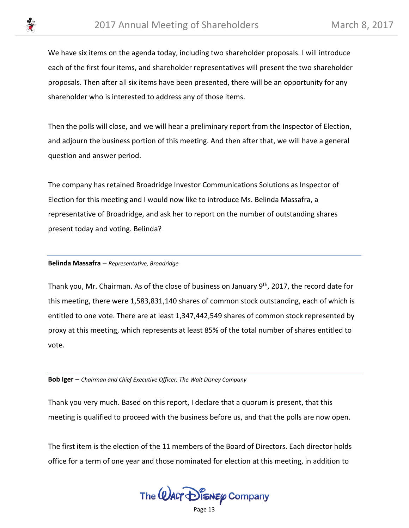

We have six items on the agenda today, including two shareholder proposals. I will introduce each of the first four items, and shareholder representatives will present the two shareholder proposals. Then after all six items have been presented, there will be an opportunity for any shareholder who is interested to address any of those items.

Then the polls will close, and we will hear a preliminary report from the Inspector of Election, and adjourn the business portion of this meeting. And then after that, we will have a general question and answer period.

The company has retained Broadridge Investor Communications Solutions as Inspector of Election for this meeting and I would now like to introduce Ms. Belinda Massafra, a representative of Broadridge, and ask her to report on the number of outstanding shares present today and voting. Belinda?

## **Belinda Massafra** – *Representative, Broadridge*

Thank you, Mr. Chairman. As of the close of business on January 9<sup>th</sup>, 2017, the record date for this meeting, there were 1,583,831,140 shares of common stock outstanding, each of which is entitled to one vote. There are at least 1,347,442,549 shares of common stock represented by proxy at this meeting, which represents at least 85% of the total number of shares entitled to vote.

**Bob Iger** – *Chairman and Chief Executive Officer, The Walt Disney Company*

Thank you very much. Based on this report, I declare that a quorum is present, that this meeting is qualified to proceed with the business before us, and that the polls are now open.

The first item is the election of the 11 members of the Board of Directors. Each director holds office for a term of one year and those nominated for election at this meeting, in addition to

The  $\mathcal Q$ ALT  $\mathcal D$  is  $\mathcal N$  Eq. Company

Page 13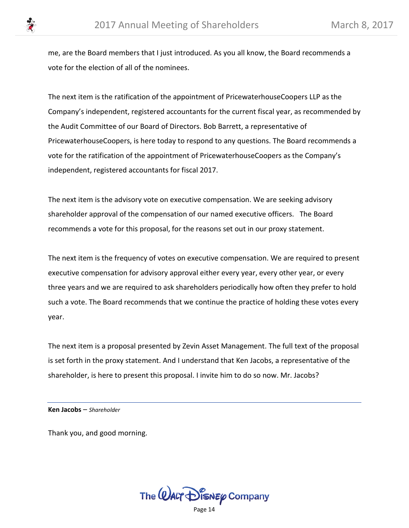me, are the Board members that I just introduced. As you all know, the Board recommends a vote for the election of all of the nominees.

The next item is the ratification of the appointment of PricewaterhouseCoopers LLP as the Company's independent, registered accountants for the current fiscal year, as recommended by the Audit Committee of our Board of Directors. Bob Barrett, a representative of PricewaterhouseCoopers, is here today to respond to any questions. The Board recommends a vote for the ratification of the appointment of PricewaterhouseCoopers as the Company's independent, registered accountants for fiscal 2017.

The next item is the advisory vote on executive compensation. We are seeking advisory shareholder approval of the compensation of our named executive officers. The Board recommends a vote for this proposal, for the reasons set out in our proxy statement.

The next item is the frequency of votes on executive compensation. We are required to present executive compensation for advisory approval either every year, every other year, or every three years and we are required to ask shareholders periodically how often they prefer to hold such a vote. The Board recommends that we continue the practice of holding these votes every year.

The next item is a proposal presented by Zevin Asset Management. The full text of the proposal is set forth in the proxy statement. And I understand that Ken Jacobs, a representative of the shareholder, is here to present this proposal. I invite him to do so now. Mr. Jacobs?

**Ken Jacobs** – *Shareholder*

Thank you, and good morning.

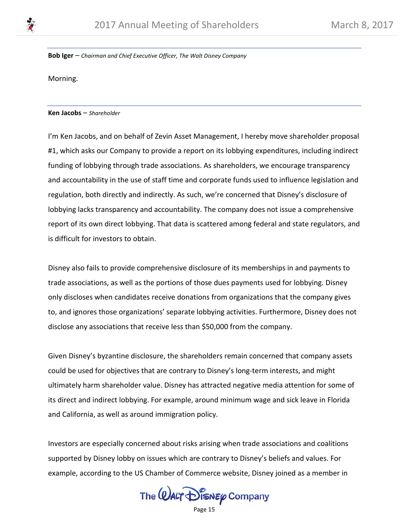

**Bob Iger** – *Chairman and Chief Executive Officer, The Walt Disney Company*

Morning.

**Ken Jacobs** – *Shareholder*

I'm Ken Jacobs, and on behalf of Zevin Asset Management, I hereby move shareholder proposal #1, which asks our Company to provide a report on its lobbying expenditures, including indirect funding of lobbying through trade associations. As shareholders, we encourage transparency and accountability in the use of staff time and corporate funds used to influence legislation and regulation, both directly and indirectly. As such, we're concerned that Disney's disclosure of lobbying lacks transparency and accountability. The company does not issue a comprehensive report of its own direct lobbying. That data is scattered among federal and state regulators, and is difficult for investors to obtain.

Disney also fails to provide comprehensive disclosure of its memberships in and payments to trade associations, as well as the portions of those dues payments used for lobbying. Disney only discloses when candidates receive donations from organizations that the company gives to, and ignores those organizations' separate lobbying activities. Furthermore, Disney does not disclose any associations that receive less than \$50,000 from the company.

Given Disney's byzantine disclosure, the shareholders remain concerned that company assets could be used for objectives that are contrary to Disney's long-term interests, and might ultimately harm shareholder value. Disney has attracted negative media attention for some of its direct and indirect lobbying. For example, around minimum wage and sick leave in Florida and California, as well as around immigration policy.

Investors are especially concerned about risks arising when trade associations and coalitions supported by Disney lobby on issues which are contrary to Disney's beliefs and values. For example, according to the US Chamber of Commerce website, Disney joined as a member in

The  $\mathcal Q$ ALT  $\mathcal D$  is  $\mathcal N$  Eq. Company

Page 15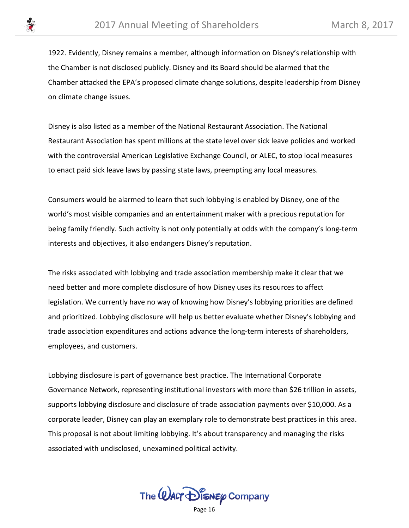1922. Evidently, Disney remains a member, although information on Disney's relationship with the Chamber is not disclosed publicly. Disney and its Board should be alarmed that the Chamber attacked the EPA's proposed climate change solutions, despite leadership from Disney on climate change issues.

Disney is also listed as a member of the National Restaurant Association. The National Restaurant Association has spent millions at the state level over sick leave policies and worked with the controversial American Legislative Exchange Council, or ALEC, to stop local measures to enact paid sick leave laws by passing state laws, preempting any local measures.

Consumers would be alarmed to learn that such lobbying is enabled by Disney, one of the world's most visible companies and an entertainment maker with a precious reputation for being family friendly. Such activity is not only potentially at odds with the company's long-term interests and objectives, it also endangers Disney's reputation.

The risks associated with lobbying and trade association membership make it clear that we need better and more complete disclosure of how Disney uses its resources to affect legislation. We currently have no way of knowing how Disney's lobbying priorities are defined and prioritized. Lobbying disclosure will help us better evaluate whether Disney's lobbying and trade association expenditures and actions advance the long-term interests of shareholders, employees, and customers.

Lobbying disclosure is part of governance best practice. The International Corporate Governance Network, representing institutional investors with more than \$26 trillion in assets, supports lobbying disclosure and disclosure of trade association payments over \$10,000. As a corporate leader, Disney can play an exemplary role to demonstrate best practices in this area. This proposal is not about limiting lobbying. It's about transparency and managing the risks associated with undisclosed, unexamined political activity.

The  $\omega$ ALT  $\mathcal{D}$  is  $\kappa$   $\varphi$  Company

Page 16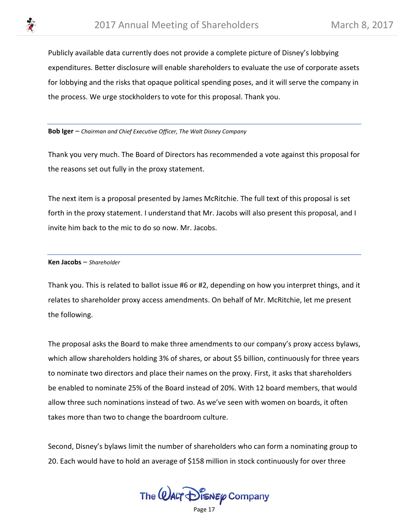

Publicly available data currently does not provide a complete picture of Disney's lobbying expenditures. Better disclosure will enable shareholders to evaluate the use of corporate assets for lobbying and the risks that opaque political spending poses, and it will serve the company in the process. We urge stockholders to vote for this proposal. Thank you.

**Bob Iger** – *Chairman and Chief Executive Officer, The Walt Disney Company*

Thank you very much. The Board of Directors has recommended a vote against this proposal for the reasons set out fully in the proxy statement.

The next item is a proposal presented by James McRitchie. The full text of this proposal is set forth in the proxy statement. I understand that Mr. Jacobs will also present this proposal, and I invite him back to the mic to do so now. Mr. Jacobs.

#### **Ken Jacobs** – *Shareholder*

Thank you. This is related to ballot issue #6 or #2, depending on how you interpret things, and it relates to shareholder proxy access amendments. On behalf of Mr. McRitchie, let me present the following.

The proposal asks the Board to make three amendments to our company's proxy access bylaws, which allow shareholders holding 3% of shares, or about \$5 billion, continuously for three years to nominate two directors and place their names on the proxy. First, it asks that shareholders be enabled to nominate 25% of the Board instead of 20%. With 12 board members, that would allow three such nominations instead of two. As we've seen with women on boards, it often takes more than two to change the boardroom culture.

Second, Disney's bylaws limit the number of shareholders who can form a nominating group to 20. Each would have to hold an average of \$158 million in stock continuously for over three

The  $\omega$ ALT  $\mathcal{D}$  is  $\kappa$   $\varphi$  Company

Page 17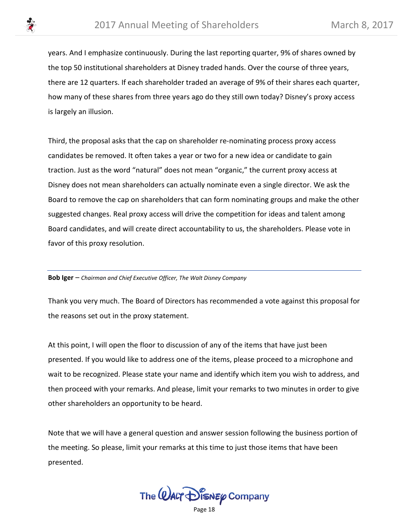

years. And I emphasize continuously. During the last reporting quarter, 9% of shares owned by the top 50 institutional shareholders at Disney traded hands. Over the course of three years, there are 12 quarters. If each shareholder traded an average of 9% of their shares each quarter, how many of these shares from three years ago do they still own today? Disney's proxy access is largely an illusion.

Third, the proposal asks that the cap on shareholder re-nominating process proxy access candidates be removed. It often takes a year or two for a new idea or candidate to gain traction. Just as the word "natural" does not mean "organic," the current proxy access at Disney does not mean shareholders can actually nominate even a single director. We ask the Board to remove the cap on shareholders that can form nominating groups and make the other suggested changes. Real proxy access will drive the competition for ideas and talent among Board candidates, and will create direct accountability to us, the shareholders. Please vote in favor of this proxy resolution.

**Bob Iger** – *Chairman and Chief Executive Officer, The Walt Disney Company*

Thank you very much. The Board of Directors has recommended a vote against this proposal for the reasons set out in the proxy statement.

At this point, I will open the floor to discussion of any of the items that have just been presented. If you would like to address one of the items, please proceed to a microphone and wait to be recognized. Please state your name and identify which item you wish to address, and then proceed with your remarks. And please, limit your remarks to two minutes in order to give other shareholders an opportunity to be heard.

Note that we will have a general question and answer session following the business portion of the meeting. So please, limit your remarks at this time to just those items that have been presented.

The  $\omega$ ALT  $\mathcal{D}$  is  $\kappa$   $\varphi$  Company

Page 18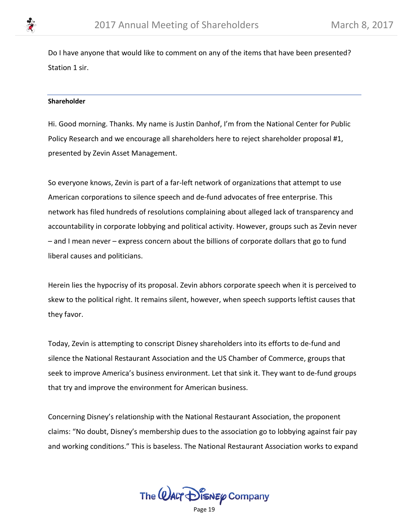

Do I have anyone that would like to comment on any of the items that have been presented? Station 1 sir.

## **Shareholder**

Hi. Good morning. Thanks. My name is Justin Danhof, I'm from the National Center for Public Policy Research and we encourage all shareholders here to reject shareholder proposal #1, presented by Zevin Asset Management.

So everyone knows, Zevin is part of a far-left network of organizations that attempt to use American corporations to silence speech and de-fund advocates of free enterprise. This network has filed hundreds of resolutions complaining about alleged lack of transparency and accountability in corporate lobbying and political activity. However, groups such as Zevin never – and I mean never – express concern about the billions of corporate dollars that go to fund liberal causes and politicians.

Herein lies the hypocrisy of its proposal. Zevin abhors corporate speech when it is perceived to skew to the political right. It remains silent, however, when speech supports leftist causes that they favor.

Today, Zevin is attempting to conscript Disney shareholders into its efforts to de-fund and silence the National Restaurant Association and the US Chamber of Commerce, groups that seek to improve America's business environment. Let that sink it. They want to de-fund groups that try and improve the environment for American business.

Concerning Disney's relationship with the National Restaurant Association, the proponent claims: "No doubt, Disney's membership dues to the association go to lobbying against fair pay and working conditions." This is baseless. The National Restaurant Association works to expand

The **WALT** DISNEY Company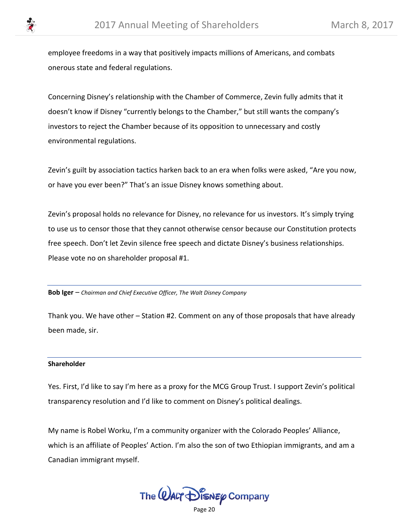employee freedoms in a way that positively impacts millions of Americans, and combats onerous state and federal regulations.

Concerning Disney's relationship with the Chamber of Commerce, Zevin fully admits that it doesn't know if Disney "currently belongs to the Chamber," but still wants the company's investors to reject the Chamber because of its opposition to unnecessary and costly environmental regulations.

Zevin's guilt by association tactics harken back to an era when folks were asked, "Are you now, or have you ever been?" That's an issue Disney knows something about.

Zevin's proposal holds no relevance for Disney, no relevance for us investors. It's simply trying to use us to censor those that they cannot otherwise censor because our Constitution protects free speech. Don't let Zevin silence free speech and dictate Disney's business relationships. Please vote no on shareholder proposal #1.

**Bob Iger** – *Chairman and Chief Executive Officer, The Walt Disney Company*

Thank you. We have other – Station #2. Comment on any of those proposals that have already been made, sir.

#### **Shareholder**

Yes. First, I'd like to say I'm here as a proxy for the MCG Group Trust. I support Zevin's political transparency resolution and I'd like to comment on Disney's political dealings.

My name is Robel Worku, I'm a community organizer with the Colorado Peoples' Alliance, which is an affiliate of Peoples' Action. I'm also the son of two Ethiopian immigrants, and am a Canadian immigrant myself.

The  $\omega$ ALT  $\bigcirc$  is  $\mathcal{M}$   $\mathcal{D}$  is  $\mathcal{M}$   $\mathcal{M}$   $\mathcal{M}$   $\mathcal{M}$   $\mathcal{M}$ 

Page 20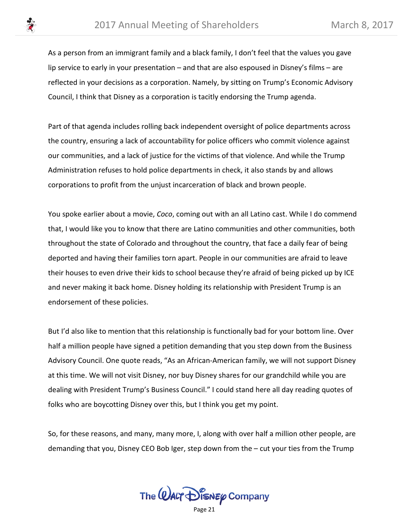

As a person from an immigrant family and a black family, I don't feel that the values you gave lip service to early in your presentation – and that are also espoused in Disney's films – are reflected in your decisions as a corporation. Namely, by sitting on Trump's Economic Advisory Council, I think that Disney as a corporation is tacitly endorsing the Trump agenda.

Part of that agenda includes rolling back independent oversight of police departments across the country, ensuring a lack of accountability for police officers who commit violence against our communities, and a lack of justice for the victims of that violence. And while the Trump Administration refuses to hold police departments in check, it also stands by and allows corporations to profit from the unjust incarceration of black and brown people.

You spoke earlier about a movie, *Coco*, coming out with an all Latino cast. While I do commend that, I would like you to know that there are Latino communities and other communities, both throughout the state of Colorado and throughout the country, that face a daily fear of being deported and having their families torn apart. People in our communities are afraid to leave their houses to even drive their kids to school because they're afraid of being picked up by ICE and never making it back home. Disney holding its relationship with President Trump is an endorsement of these policies.

But I'd also like to mention that this relationship is functionally bad for your bottom line. Over half a million people have signed a petition demanding that you step down from the Business Advisory Council. One quote reads, "As an African-American family, we will not support Disney at this time. We will not visit Disney, nor buy Disney shares for our grandchild while you are dealing with President Trump's Business Council." I could stand here all day reading quotes of folks who are boycotting Disney over this, but I think you get my point.

So, for these reasons, and many, many more, I, along with over half a million other people, are demanding that you, Disney CEO Bob Iger, step down from the – cut your ties from the Trump

The  $\omega$ ALT  $\mathcal{D}$  is  $\kappa$   $\varphi$  Company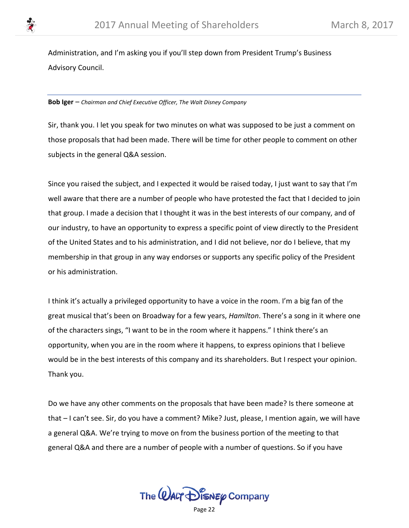

Administration, and I'm asking you if you'll step down from President Trump's Business Advisory Council.

#### **Bob Iger** – *Chairman and Chief Executive Officer, The Walt Disney Company*

Sir, thank you. I let you speak for two minutes on what was supposed to be just a comment on those proposals that had been made. There will be time for other people to comment on other subjects in the general Q&A session.

Since you raised the subject, and I expected it would be raised today, I just want to say that I'm well aware that there are a number of people who have protested the fact that I decided to join that group. I made a decision that I thought it was in the best interests of our company, and of our industry, to have an opportunity to express a specific point of view directly to the President of the United States and to his administration, and I did not believe, nor do I believe, that my membership in that group in any way endorses or supports any specific policy of the President or his administration.

I think it's actually a privileged opportunity to have a voice in the room. I'm a big fan of the great musical that's been on Broadway for a few years, *Hamilton*. There's a song in it where one of the characters sings, "I want to be in the room where it happens." I think there's an opportunity, when you are in the room where it happens, to express opinions that I believe would be in the best interests of this company and its shareholders. But I respect your opinion. Thank you.

Do we have any other comments on the proposals that have been made? Is there someone at that – I can't see. Sir, do you have a comment? Mike? Just, please, I mention again, we will have a general Q&A. We're trying to move on from the business portion of the meeting to that general Q&A and there are a number of people with a number of questions. So if you have

The  $\omega$ ALT  $\bigcirc$  is  $\mathcal{M}$   $\mathcal{D}$  is  $\mathcal{M}$   $\mathcal{M}$   $\mathcal{M}$   $\mathcal{M}$   $\mathcal{M}$ 

Page 22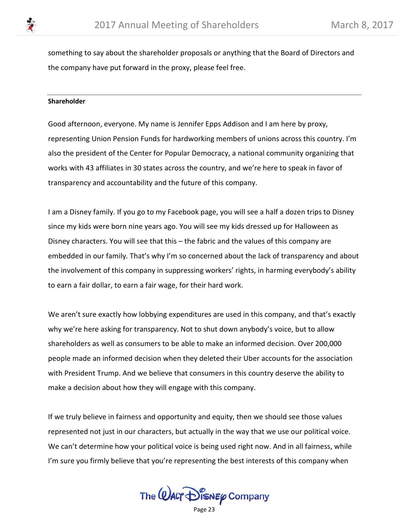

something to say about the shareholder proposals or anything that the Board of Directors and the company have put forward in the proxy, please feel free.

### **Shareholder**

Good afternoon, everyone. My name is Jennifer Epps Addison and I am here by proxy, representing Union Pension Funds for hardworking members of unions across this country. I'm also the president of the Center for Popular Democracy, a national community organizing that works with 43 affiliates in 30 states across the country, and we're here to speak in favor of transparency and accountability and the future of this company.

I am a Disney family. If you go to my Facebook page, you will see a half a dozen trips to Disney since my kids were born nine years ago. You will see my kids dressed up for Halloween as Disney characters. You will see that this – the fabric and the values of this company are embedded in our family. That's why I'm so concerned about the lack of transparency and about the involvement of this company in suppressing workers' rights, in harming everybody's ability to earn a fair dollar, to earn a fair wage, for their hard work.

We aren't sure exactly how lobbying expenditures are used in this company, and that's exactly why we're here asking for transparency. Not to shut down anybody's voice, but to allow shareholders as well as consumers to be able to make an informed decision. Over 200,000 people made an informed decision when they deleted their Uber accounts for the association with President Trump. And we believe that consumers in this country deserve the ability to make a decision about how they will engage with this company.

If we truly believe in fairness and opportunity and equity, then we should see those values represented not just in our characters, but actually in the way that we use our political voice. We can't determine how your political voice is being used right now. And in all fairness, while I'm sure you firmly believe that you're representing the best interests of this company when

The  $\omega$ ALT  $\bigoplus_{k=1}^n$  Company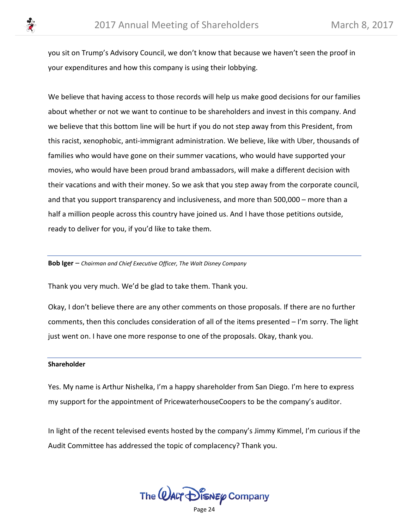you sit on Trump's Advisory Council, we don't know that because we haven't seen the proof in your expenditures and how this company is using their lobbying.

We believe that having access to those records will help us make good decisions for our families about whether or not we want to continue to be shareholders and invest in this company. And we believe that this bottom line will be hurt if you do not step away from this President, from this racist, xenophobic, anti-immigrant administration. We believe, like with Uber, thousands of families who would have gone on their summer vacations, who would have supported your movies, who would have been proud brand ambassadors, will make a different decision with their vacations and with their money. So we ask that you step away from the corporate council, and that you support transparency and inclusiveness, and more than 500,000 – more than a half a million people across this country have joined us. And I have those petitions outside, ready to deliver for you, if you'd like to take them.

**Bob Iger** – *Chairman and Chief Executive Officer, The Walt Disney Company*

Thank you very much. We'd be glad to take them. Thank you.

Okay, I don't believe there are any other comments on those proposals. If there are no further comments, then this concludes consideration of all of the items presented – I'm sorry. The light just went on. I have one more response to one of the proposals. Okay, thank you.

## **Shareholder**

Yes. My name is Arthur Nishelka, I'm a happy shareholder from San Diego. I'm here to express my support for the appointment of PricewaterhouseCoopers to be the company's auditor.

In light of the recent televised events hosted by the company's Jimmy Kimmel, I'm curious if the Audit Committee has addressed the topic of complacency? Thank you.

The **WALT** DISNEY Company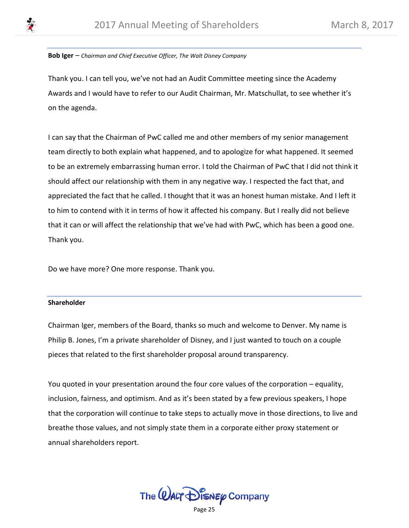

#### **Bob Iger** – *Chairman and Chief Executive Officer, The Walt Disney Company*

Thank you. I can tell you, we've not had an Audit Committee meeting since the Academy Awards and I would have to refer to our Audit Chairman, Mr. Matschullat, to see whether it's on the agenda.

I can say that the Chairman of PwC called me and other members of my senior management team directly to both explain what happened, and to apologize for what happened. It seemed to be an extremely embarrassing human error. I told the Chairman of PwC that I did not think it should affect our relationship with them in any negative way. I respected the fact that, and appreciated the fact that he called. I thought that it was an honest human mistake. And I left it to him to contend with it in terms of how it affected his company. But I really did not believe that it can or will affect the relationship that we've had with PwC, which has been a good one. Thank you.

Do we have more? One more response. Thank you.

## **Shareholder**

Chairman Iger, members of the Board, thanks so much and welcome to Denver. My name is Philip B. Jones, I'm a private shareholder of Disney, and I just wanted to touch on a couple pieces that related to the first shareholder proposal around transparency.

You quoted in your presentation around the four core values of the corporation – equality, inclusion, fairness, and optimism. And as it's been stated by a few previous speakers, I hope that the corporation will continue to take steps to actually move in those directions, to live and breathe those values, and not simply state them in a corporate either proxy statement or annual shareholders report.

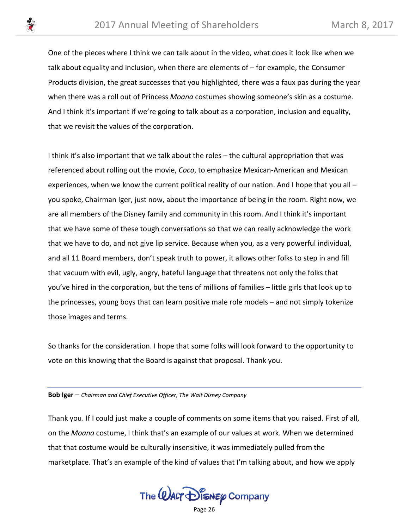One of the pieces where I think we can talk about in the video, what does it look like when we talk about equality and inclusion, when there are elements of – for example, the Consumer Products division, the great successes that you highlighted, there was a faux pas during the year when there was a roll out of Princess *Moana* costumes showing someone's skin as a costume. And I think it's important if we're going to talk about as a corporation, inclusion and equality, that we revisit the values of the corporation.

I think it's also important that we talk about the roles – the cultural appropriation that was referenced about rolling out the movie, *Coco*, to emphasize Mexican-American and Mexican experiences, when we know the current political reality of our nation. And I hope that you all – you spoke, Chairman Iger, just now, about the importance of being in the room. Right now, we are all members of the Disney family and community in this room. And I think it's important that we have some of these tough conversations so that we can really acknowledge the work that we have to do, and not give lip service. Because when you, as a very powerful individual, and all 11 Board members, don't speak truth to power, it allows other folks to step in and fill that vacuum with evil, ugly, angry, hateful language that threatens not only the folks that you've hired in the corporation, but the tens of millions of families – little girls that look up to the princesses, young boys that can learn positive male role models – and not simply tokenize those images and terms.

So thanks for the consideration. I hope that some folks will look forward to the opportunity to vote on this knowing that the Board is against that proposal. Thank you.

**Bob Iger** – *Chairman and Chief Executive Officer, The Walt Disney Company*

Thank you. If I could just make a couple of comments on some items that you raised. First of all, on the *Moana* costume, I think that's an example of our values at work. When we determined that that costume would be culturally insensitive, it was immediately pulled from the marketplace. That's an example of the kind of values that I'm talking about, and how we apply

The  $\mathcal Q$ ALT  $\mathcal D$  is  $\mathcal N$  Eq. Company

Page 26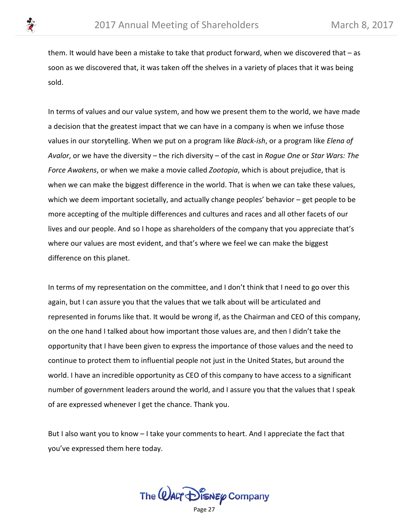them. It would have been a mistake to take that product forward, when we discovered that – as soon as we discovered that, it was taken off the shelves in a variety of places that it was being sold.

In terms of values and our value system, and how we present them to the world, we have made a decision that the greatest impact that we can have in a company is when we infuse those values in our storytelling. When we put on a program like *Black-ish*, or a program like *Elena of Avalor*, or we have the diversity – the rich diversity – of the cast in *Rogue One* or *Star Wars: The Force Awakens*, or when we make a movie called *Zootopia*, which is about prejudice, that is when we can make the biggest difference in the world. That is when we can take these values, which we deem important societally, and actually change peoples' behavior – get people to be more accepting of the multiple differences and cultures and races and all other facets of our lives and our people. And so I hope as shareholders of the company that you appreciate that's where our values are most evident, and that's where we feel we can make the biggest difference on this planet.

In terms of my representation on the committee, and I don't think that I need to go over this again, but I can assure you that the values that we talk about will be articulated and represented in forums like that. It would be wrong if, as the Chairman and CEO of this company, on the one hand I talked about how important those values are, and then I didn't take the opportunity that I have been given to express the importance of those values and the need to continue to protect them to influential people not just in the United States, but around the world. I have an incredible opportunity as CEO of this company to have access to a significant number of government leaders around the world, and I assure you that the values that I speak of are expressed whenever I get the chance. Thank you.

But I also want you to know – I take your comments to heart. And I appreciate the fact that you've expressed them here today.

The  $\omega$ ALT  $\mathcal{D}$  is  $\kappa$   $\varphi$  Company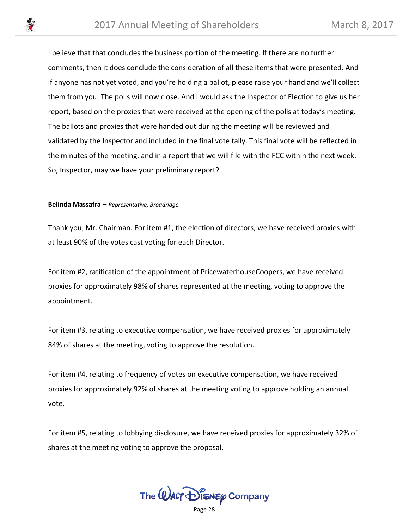I believe that that concludes the business portion of the meeting. If there are no further comments, then it does conclude the consideration of all these items that were presented. And if anyone has not yet voted, and you're holding a ballot, please raise your hand and we'll collect them from you. The polls will now close. And I would ask the Inspector of Election to give us her report, based on the proxies that were received at the opening of the polls at today's meeting. The ballots and proxies that were handed out during the meeting will be reviewed and validated by the Inspector and included in the final vote tally. This final vote will be reflected in the minutes of the meeting, and in a report that we will file with the FCC within the next week. So, Inspector, may we have your preliminary report?

#### **Belinda Massafra** – *Representative, Broadridge*

Thank you, Mr. Chairman. For item #1, the election of directors, we have received proxies with at least 90% of the votes cast voting for each Director.

For item #2, ratification of the appointment of PricewaterhouseCoopers, we have received proxies for approximately 98% of shares represented at the meeting, voting to approve the appointment.

For item #3, relating to executive compensation, we have received proxies for approximately 84% of shares at the meeting, voting to approve the resolution.

For item #4, relating to frequency of votes on executive compensation, we have received proxies for approximately 92% of shares at the meeting voting to approve holding an annual vote.

For item #5, relating to lobbying disclosure, we have received proxies for approximately 32% of shares at the meeting voting to approve the proposal.

The  $\omega$ ALT  $\bigcirc$  is  $\mathcal{M}$   $\mathcal{D}$  is  $\mathcal{M}$   $\mathcal{M}$   $\mathcal{M}$   $\mathcal{M}$   $\mathcal{M}$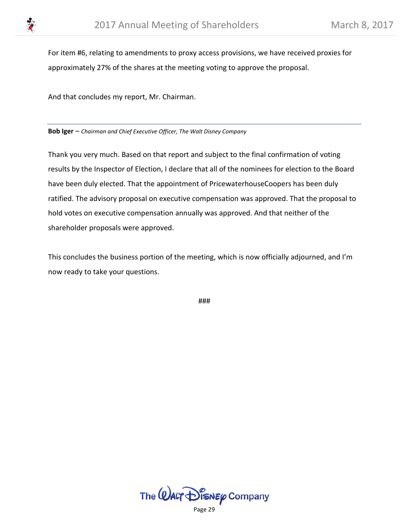

For item #6, relating to amendments to proxy access provisions, we have received proxies for approximately 27% of the shares at the meeting voting to approve the proposal.

And that concludes my report, Mr. Chairman.

**Bob Iger** – *Chairman and Chief Executive Officer, The Walt Disney Company*

Thank you very much. Based on that report and subject to the final confirmation of voting results by the Inspector of Election, I declare that all of the nominees for election to the Board have been duly elected. That the appointment of PricewaterhouseCoopers has been duly ratified. The advisory proposal on executive compensation was approved. That the proposal to hold votes on executive compensation annually was approved. And that neither of the shareholder proposals were approved.

This concludes the business portion of the meeting, which is now officially adjourned, and I'm now ready to take your questions.

###